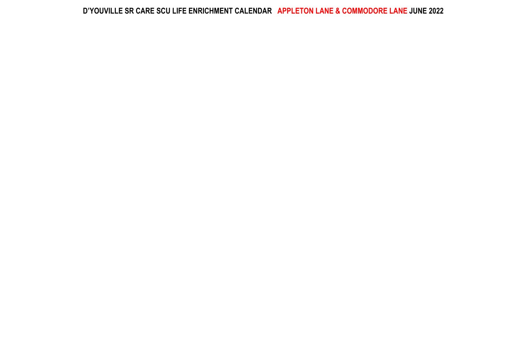## D'YOUVILLE SR CARE SCU LIFE ENRICHMENT CALENDAR APPLETON LANE & COMMODORE LANE JUNE 2022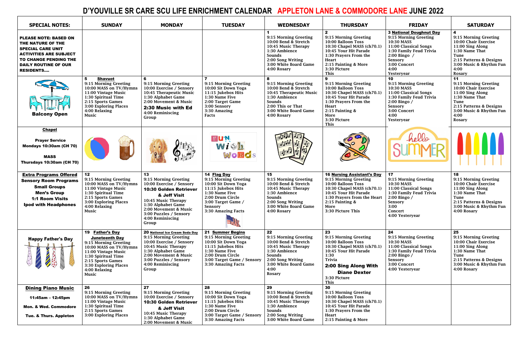## **D'YOUVILLE SR CARE SCU LIFE ENRICHMENT CALENDAR APPLETON LANE & COMMODORE LANE JUNE 2022**

| <b>SPECIAL NOTES:</b>                                                                                                                                                                      | <b>SUNDAY</b>                                                                                                                                                                                                     | <b>MONDAY</b>                                                                                                                                                                                                                  | <b>TUESDAY</b>                                                                                                                                                                          | <b>WEDNESDAY</b>                                                                                                                                                      | <b>THURSDAY</b>                                                                                                                                                                                                 | <b>FRIDAY</b>                                                                                                                                                                              | <b>SATURDAY</b>                                                                                                                                                                                |
|--------------------------------------------------------------------------------------------------------------------------------------------------------------------------------------------|-------------------------------------------------------------------------------------------------------------------------------------------------------------------------------------------------------------------|--------------------------------------------------------------------------------------------------------------------------------------------------------------------------------------------------------------------------------|-----------------------------------------------------------------------------------------------------------------------------------------------------------------------------------------|-----------------------------------------------------------------------------------------------------------------------------------------------------------------------|-----------------------------------------------------------------------------------------------------------------------------------------------------------------------------------------------------------------|--------------------------------------------------------------------------------------------------------------------------------------------------------------------------------------------|------------------------------------------------------------------------------------------------------------------------------------------------------------------------------------------------|
| <b>PLEASE NOTE: BASED ON</b><br>THE NATURE OF THE<br><b>SPECIAL CARE UNIT</b><br><b>ACTIVITIES ARE SUBJECT</b><br>TO CHANGE PENDING THE<br><b>DAILY ROUTINE OF OUR</b><br><b>RESIDENTS</b> |                                                                                                                                                                                                                   |                                                                                                                                                                                                                                |                                                                                                                                                                                         | 9:15 Morning Greeting<br>10:00 Bend & Stretch<br>10:45 Music Therapy<br>1:30 Ambience<br>Sounds<br>2:00 Song Writing<br>3:00 White Board Game<br>4:00 Rosary          | $\mathbf{2}$<br>9:15 Morning Greeting<br>10:00 Balloon Toss<br>10:30 Chapel MASS (ch70.1)<br>10:45 Your Hit Parade<br>1:30 Prayers From the<br><b>Heart</b><br>2:15 Painting & More<br>3:30 Picture<br>This     | <b>3 National Doughnut Day</b><br>9:15 Morning Greeting<br>10:30 MASS<br>11:00 Classical Songs<br>1:30 Family Feud Trivia<br>2:00 Bingo /<br>Sensory<br>3:00 Concert<br>4:00<br>Yesteryear | $\overline{\mathbf{4}}$<br>9:15 Morning Greeting<br>10:00 Chair Exercise<br>11:00 Sing Along<br>1:30 Name That<br>Tune<br>2:15 Patterns & Designs<br>3:00 Music & Rhythm Fun<br>4:00<br>Rosary |
| <b>Balcony Open</b>                                                                                                                                                                        | 5<br><b>Shavuot</b><br>9:15 Morning Greeting<br>10:00 MASS on TV/Hymns<br>11:00 Vintage Music<br>1:30 Spiritual Time<br>2:15 Sports Games<br>3:00 Exploring Places<br>4:00 Relaxing<br>Music                      | 9:15 Morning Greeting<br>10:00 Exercise / Sensory<br>10:45 Therapeutic Music<br>1:30 Alphabet Game<br>2:00 Movement & Music<br>2:30 Music with Ed<br>4:00 Reminiscing<br>Group                                                 | 9:15 Morning Greeting<br>10:00 Sit Down Yoga<br>11:15 Jukebox Hits<br>1:30 Name Five<br>2:00 Target Game<br>3:00 Sensory<br>3:30 Amazing<br>Facts                                       | 8<br>9:15 Morning Greeting<br>10:00 Bend & Stretch<br>10:45 Therapeutic Music<br>1:30 Ambience<br>Sounds<br>2:00 This or That<br>3:00 White Board Game<br>4:00 Rosary | 9:15 Morning Greeting<br>10:00 Balloon Toss<br>10:30 Chapel MASS (ch70.1)<br>10:45 Your Hit Parade<br>1:30 Prayers From the<br><b>Heart</b><br>2:15 Painting $&$<br>More<br>3:30 Picture<br>This                | 10<br>9:15 Morning Greeting<br>10:30 MASS<br>11:00 Classical Songs<br>1:30 Family Feud Trivia<br>2:00 Bingo /<br>Sensory<br>3:00 Concert<br>4:00<br>Yesteryear                             | 11<br>9:15 Morning Greeting<br>10:00 Chair Exercise<br>11:00 Sing Along<br>1:30 Name That<br>Tune<br>2:15 Patterns & Designs<br>3:00 Music & Rhythm Fun<br>4:00<br>Rosary                      |
| <b>Chapel</b><br><b>Prayer Service</b><br><b>Mondays 10:30am (CH 70)</b><br><b>MASS</b><br>Thursdays 10:30am (CH 70)                                                                       |                                                                                                                                                                                                                   |                                                                                                                                                                                                                                | PUN<br>With<br>WORCS                                                                                                                                                                    | state of                                                                                                                                                              |                                                                                                                                                                                                                 | hello                                                                                                                                                                                      |                                                                                                                                                                                                |
| <b>Extra Programs Offered</b><br><b>Sensory Room Programs</b><br><b>Small Groups</b><br><b>Men's Group</b><br><b>1:1 Room Visits</b><br><b>Ipod with Headphones</b>                        | 12<br>9:15 Morning Greeting<br>10:00 MASS on TV/Hymns<br>11:00 Vintage Music<br>1:30 Spiritual Time<br>2:15 Sports Games<br>3:00 Exploring Places<br>4:00 Relaxing<br>Music                                       | 13<br>9:15 Morning Greeting<br>10:00 Exercise / Sensory<br>10:30 Golden Retriever<br>& Jeff Visit<br>10:45 Music Therapy<br>1:30 Alphabet Game<br>2:00 Movement & Music<br>3:00 Puzzles / Sensory<br>4:00 Reminiscing<br>Group | 14 Flag Day<br>9:15 Morning Greeting<br>10:00 Sit Down Yoga<br>11:15 Jukebox Hits<br>1:30 Name Five<br>2:00 Drum Circle<br>3:00 Target Game /<br>Sensory<br>3:30 Amazing Facts          | 15<br>9:15 Morning Greeting<br>10:00 Bend & Stretch<br>10:45 Music Therapy<br>1:30 Ambience<br>Sounds<br>2:00 Song Writing<br>3:00 White Board Game<br>4:00 Rosary    | 16 Nursing Assistant's Day<br>9:15 Morning Greeting<br>10:00 Balloon Toss<br>10:30 Chapel MASS (ch70.1)<br>10:45 Your Hit Parade<br>1:30 Prayers from the Heart<br>2:15 Painting &<br>More<br>3:30 Picture This | 17<br>9:15 Morning Greeting<br>10:30 MASS<br>11:00 Classical Songs<br>1:30 Family Feud Trivia<br>2:00 Bingo /<br>Sensory<br>3:00<br>Concert<br>4:00 Yesteryear                             | 18<br>9:15 Morning Greeting<br>10:00 Chair Exercise<br>11:00 Sing Along<br>1:30 Name That<br>Tune<br>2:15 Patterns & Designs<br>3:00 Music & Rhythm Fun<br>4:00 Rosary                         |
| <b>Happy Father's Day</b>                                                                                                                                                                  | 19 Father's Day<br><b>Juneteenth Day</b><br>9:15 Morning Greeting<br>10:00 MASS on TV/Hymns<br>11:00 Vintage Music<br>1:30 Spiritual Time<br>2:15 Sports Games<br>3:30 Exploring Places<br>4:00 Relaxing<br>Music | 20 National Ice Cream Soda Day<br>9:15 Morning Greeting<br>10:00 Exercise / Sensory<br>10:45 Music Therapy<br>1:30 Alphabet Game<br>2:00 Movement & Music<br>3:00 Puzzles / Sensory<br>4:00 Reminiscing<br>Group               | <b>21 Summer Begins</b><br>9:15 Morning Greeting<br>10:00 Sit Down Yoga<br>11:15 Jukebox Hits<br>1:30 Name Five<br>2:00 Drum Circle<br>3:00 Target Game / Sensory<br>3:30 Amazing Facts | 22<br>9:15 Morning Greeting<br>10:00 Bend & Stretch<br>10:45 Music Therapy<br>1:30 Ambience<br>Sounds<br>2:00 Song Writing<br>3:00 White Board Game<br>4:00<br>Rosary | 23<br>9:15 Morning Greeting<br>10:00 Balloon Toss<br>10:30 Chapel MASS (ch70.1)<br>10:45 Your Hit Parade<br>1:30<br><b>Trivia</b><br>2:00 Sing Along With<br><b>Diane Dexter</b><br>3:30 Picture<br>This        | 24<br>9:15 Morning Greeting<br>10:30 MASS<br>11:00 Classical Songs<br>1:30 Family Feud Trivia<br>2:00 Bingo /<br>Sensory<br>3:00 Concert<br>4:00 Yesteryear                                | 25<br>9:15 Morning Greeting<br>10:00 Chair Exercise<br>11:00 Sing Along<br>1:30 Name That<br>Tune<br>2:15 Patterns & Designs<br>3:00 Music & Rhythm Fun<br>4:00 Rosary                         |
| <b>Dining Piano Music</b><br>11:45am – 12:45pm<br><b>Mon. &amp; Wed. Commodore</b><br><b>Tue. &amp; Thurs. Appleton</b>                                                                    | 26<br>9:15 Morning Greeting<br>10:00 MASS on TV/Hymns<br>11:00 Vintage Music<br>1:30 Spiritual Time<br>2:15 Sports Games<br>3:00 Exploring Places                                                                 | 27<br>9:15 Morning Greeting<br>10:00 Exercise / Sensory<br>10:30 Golden Retriever<br>& Jeff Visit<br>10:45 Music Therapy<br>1:30 Alphabet Game<br>2:00 Movement & Music                                                        | 28<br>9:15 Morning Greeting<br>10:00 Sit Down Yoga<br>11:15 Jukebox Hits<br>1:30 Name Five<br>2:00 Drum Circle<br>3:00 Target Game / Sensory<br>3:30 Amazing Facts                      | 29<br>9:15 Morning Greeting<br>10:00 Bend & Stretch<br>10:45 Music Therapy<br>1:30 Ambience<br>Sounds<br>2:00 Song Writing<br>3:00 White Board Game                   | 30<br>9:15 Morning Greeting<br>10:00 Balloon Toss<br>10:30 Chapel MASS (ch70.1)<br>10:45 Your Hit Parade<br>1:30 Prayers From the<br>Heart<br>2:15 Painting & More                                              |                                                                                                                                                                                            |                                                                                                                                                                                                |